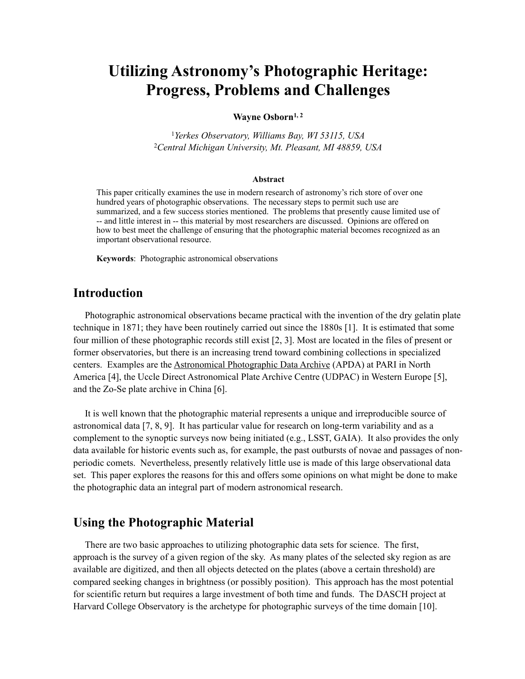# **Utilizing Astronomy's Photographic Heritage: Progress, Problems and Challenges**

#### Wayne Osborn<sup>1, 2</sup>

<sup>1</sup>*Yerkes Observatory, Williams Bay, WI 53115, USA* <sup>2</sup>*Central Michigan University, Mt. Pleasant, MI 48859, USA*

#### **Abstract**

This paper critically examines the use in modern research of astronomy's rich store of over one hundred years of photographic observations. The necessary steps to permit such use are summarized, and a few success stories mentioned. The problems that presently cause limited use of -- and little interest in -- this material by most researchers are discussed. Opinions are offered on how to best meet the challenge of ensuring that the photographic material becomes recognized as an important observational resource.

**Keywords**: Photographic astronomical observations

### **Introduction**

 Photographic astronomical observations became practical with the invention of the dry gelatin plate technique in 1871; they have been routinely carried out since the 1880s [1]. It is estimated that some four million of these photographic records still exist [2, 3]. Most are located in the files of present or former observatories, but there is an increasing trend toward combining collections in specialized centers. Examples are the [Astronomical Photographic Data Archive](http://articles.adsabs.harvard.edu/full/2009ASPC..410...70C) (APDA) at PARI in North America [4], the Uccle Direct Astronomical Plate Archive Centre (UDPAC) in Western Europe [5], and the Zo-Se plate archive in China [6].

 It is well known that the photographic material represents a unique and irreproducible source of astronomical data [7, 8, 9]. It has particular value for research on long-term variability and as a complement to the synoptic surveys now being initiated (e.g., LSST, GAIA). It also provides the only data available for historic events such as, for example, the past outbursts of novae and passages of nonperiodic comets. Nevertheless, presently relatively little use is made of this large observational data set. This paper explores the reasons for this and offers some opinions on what might be done to make the photographic data an integral part of modern astronomical research.

# **Using the Photographic Material**

 There are two basic approaches to utilizing photographic data sets for science. The first, approach is the survey of a given region of the sky. As many plates of the selected sky region as are available are digitized, and then all objects detected on the plates (above a certain threshold) are compared seeking changes in brightness (or possibly position). This approach has the most potential for scientific return but requires a large investment of both time and funds. The DASCH project at Harvard College Observatory is the archetype for photographic surveys of the time domain [10].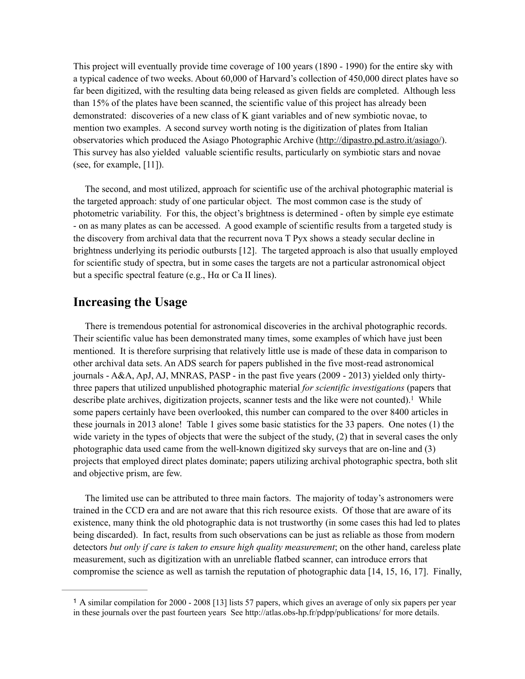This project will eventually provide time coverage of 100 years (1890 - 1990) for the entire sky with a typical cadence of two weeks. About 60,000 of Harvard's collection of 450,000 direct plates have so far been digitized, with the resulting data being released as given fields are completed. Although less than 15% of the plates have been scanned, the scientific value of this project has already been demonstrated: discoveries of a new class of K giant variables and of new symbiotic novae, to mention two examples. A second survey worth noting is the digitization of plates from Italian observatories which produced the Asiago Photographic Archive (http://dipastro.pd.astro.it/asiago/). This survey has also yielded valuable scientific results, particularly on symbiotic stars and novae (see, for example, [11]).

 The second, and most utilized, approach for scientific use of the archival photographic material is the targeted approach: study of one particular object. The most common case is the study of photometric variability. For this, the object's brightness is determined - often by simple eye estimate - on as many plates as can be accessed. A good example of scientific results from a targeted study is the discovery from archival data that the recurrent nova T Pyx shows a steady secular decline in brightness underlying its periodic outbursts [12]. The targeted approach is also that usually employed for scientific study of spectra, but in some cases the targets are not a particular astronomical object but a specific spectral feature (e.g., Hα or Ca II lines).

# **Increasing the Usage**

 There is tremendous potential for astronomical discoveries in the archival photographic records. Their scientific value has been demonstrated many times, some examples of which have just been mentioned. It is therefore surprising that relatively little use is made of these data in comparison to other archival data sets. An ADS search for papers published in the five most-read astronomical journals - A&A, ApJ, AJ, MNRAS, PASP - in the past five years (2009 - 2013) yielded only thirtythree papers that utilized unpublished photographic material *for scientific investigations* (papers that describe plate archives, digitization projects, scanner tests and the like were not counted).<sup>1</sup> While some papers certainly have been overlooked, this number can compared to the over 8400 articles in these journals in 2013 alone! Table 1 gives some basic statistics for the 33 papers. One notes (1) the wide variety in the types of objects that were the subject of the study, (2) that in several cases the only photographic data used came from the well-known digitized sky surveys that are on-line and (3) projects that employed direct plates dominate; papers utilizing archival photographic spectra, both slit and objective prism, are few.

 The limited use can be attributed to three main factors. The majority of today's astronomers were trained in the CCD era and are not aware that this rich resource exists. Of those that are aware of its existence, many think the old photographic data is not trustworthy (in some cases this had led to plates being discarded). In fact, results from such observations can be just as reliable as those from modern detectors *but only if care is taken to ensure high quality measurement*; on the other hand, careless plate measurement, such as digitization with an unreliable flatbed scanner, can introduce errors that compromise the science as well as tarnish the reputation of photographic data [14, 15, 16, 17]. Finally,

<sup>&</sup>lt;sup>1</sup> A similar compilation for 2000 - 2008 [13] lists 57 papers, which gives an average of only six papers per year in these journals over the past fourteen years See http://atlas.obs-hp.fr/pdpp/publications/ for more details.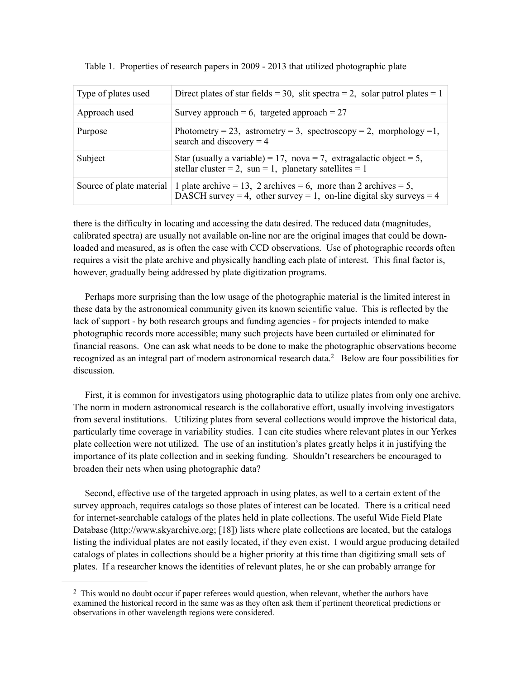| Type of plates used      | Direct plates of star fields = 30, slit spectra = 2, solar patrol plates = 1                                                           |
|--------------------------|----------------------------------------------------------------------------------------------------------------------------------------|
| Approach used            | Survey approach = 6, targeted approach = $27$                                                                                          |
| Purpose                  | Photometry = 23, astrometry = 3, spectroscopy = 2, morphology = 1,<br>search and discovery $=$ 4                                       |
| Subject                  | Star (usually a variable) = 17, nova = 7, extragalactic object = 5,<br>stellar cluster = 2, sun = 1, planetary satellites = 1          |
| Source of plate material | 1 plate archive = 13, 2 archives = 6, more than 2 archives = 5,<br>DASCH survey = 4, other survey = 1, on-line digital sky surveys = 4 |

Table 1. Properties of research papers in 2009 - 2013 that utilized photographic plate

there is the difficulty in locating and accessing the data desired. The reduced data (magnitudes, calibrated spectra) are usually not available on-line nor are the original images that could be downloaded and measured, as is often the case with CCD observations. Use of photographic records often requires a visit the plate archive and physically handling each plate of interest. This final factor is, however, gradually being addressed by plate digitization programs.

 Perhaps more surprising than the low usage of the photographic material is the limited interest in these data by the astronomical community given its known scientific value. This is reflected by the lack of support - by both research groups and funding agencies - for projects intended to make photographic records more accessible; many such projects have been curtailed or eliminated for financial reasons. One can ask what needs to be done to make the photographic observations become recognized as an integral part of modern astronomical research data.<sup>2</sup> Below are four possibilities for discussion.

 First, it is common for investigators using photographic data to utilize plates from only one archive. The norm in modern astronomical research is the collaborative effort, usually involving investigators from several institutions. Utilizing plates from several collections would improve the historical data, particularly time coverage in variability studies. I can cite studies where relevant plates in our Yerkes plate collection were not utilized. The use of an institution's plates greatly helps it in justifying the importance of its plate collection and in seeking funding. Shouldn't researchers be encouraged to broaden their nets when using photographic data?

 Second, effective use of the targeted approach in using plates, as well to a certain extent of the survey approach, requires catalogs so those plates of interest can be located. There is a critical need for internet-searchable catalogs of the plates held in plate collections. The useful Wide Field Plate Database (http://www.skyarchive.org; [18]) lists where plate collections are located, but the catalogs listing the individual plates are not easily located, if they even exist. I would argue producing detailed catalogs of plates in collections should be a higher priority at this time than digitizing small sets of plates. If a researcher knows the identities of relevant plates, he or she can probably arrange for

 $\frac{2}{3}$  This would no doubt occur if paper referees would question, when relevant, whether the authors have examined the historical record in the same was as they often ask them if pertinent theoretical predictions or observations in other wavelength regions were considered.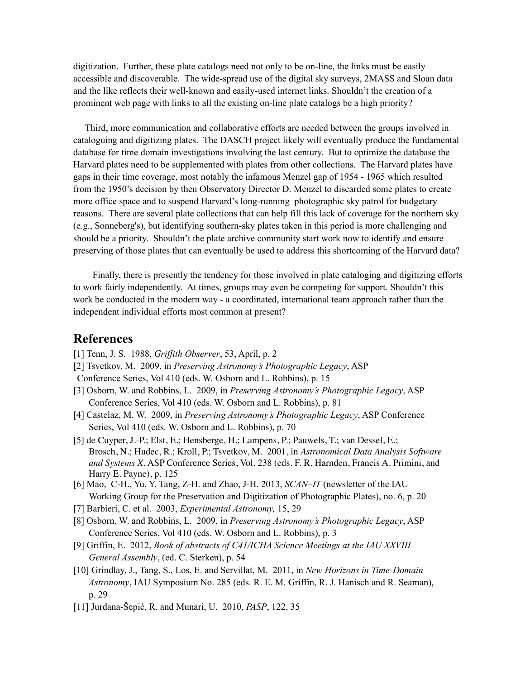digitization. Further, these plate catalogs need not only to be on-line, the links must be easily accessible and discoverable. The wide-spread use of the digital sky surveys, 2MASS and Sloan data and the like reflects their well-known and easily-used internet links. Shouldn't the creation of a prominent web page with links to all the existing on-line plate catalogs be a high priority?

 Third, more communication and collaborative efforts are needed between the groups involved in cataloguing and digitizing plates. The DASCH project likely will eventually produce the fundamental database for time domain investigations involving the last century. But to optimize the database the Harvard plates need to be supplemented with plates from other collections. The Harvard plates have gaps in their time coverage, most notably the infamous Menzel gap of 1954 - 1965 which resulted from the 1950's decision by then Observatory Director D. Menzel to discarded some plates to create more office space and to suspend Harvard's long-running photographic sky patrol for budgetary reasons. There are several plate collections that can help fill this lack of coverage for the northern sky (e.g., Sonneberg's), but identifying southern-sky plates taken in this period is more challenging and should be a priority. Shouldn't the plate archive community start work now to identify and ensure preserving of those plates that can eventually be used to address this shortcoming of the Harvard data?

 Finally, there is presently the tendency for those involved in plate cataloging and digitizing efforts to work fairly independently. At times, groups may even be competing for support. Shouldn't this work be conducted in the modern way - a coordinated, international team approach rather than the independent individual efforts most common at present?

# **References**

- [1] Tenn, J. S. 1988, *Griffith Observer*, 53, April, p. 2
- [2] Tsvetkov, M. 2009, in *Preserving Astronomy's Photographic Legacy*, ASP
- Conference Series, Vol 410 (eds. W. Osborn and L. Robbins), p. 15
- [3] Osborn, W. and Robbins, L. 2009, in *Preserving Astronomy's Photographic Legacy*, ASP Conference Series, Vol 410 (eds. W. Osborn and L. Robbins), p. 81
- [4] Castelaz, M. W. 2009, in *Preserving Astronomy's Photographic Legacy*, ASP Conference Series, Vol 410 (eds. W. Osborn and L. Robbins), p. 70
- [5] de Cuyper, J.-P.; Elst, E.; Hensberge, H.; Lampens, P.; Pauwels, T.; van Dessel, E.; Brosch, N.; Hudec, R.; Kroll, P.; Tsvetkov, M. 2001, in *Astronomical Data Analysis Software and Systems X, ASP Conference Series, Vol. 238 (eds. F. R. Harnden, Francis A. Primini, and*  Harry E. Payne), p. 125
- [6] Mao, C-H., Yu, Y. Tang, Z-H. and Zhao, J-H. 2013, *SCAN–IT* (newsletter of the IAU Working Group for the Preservation and Digitization of Photographic Plates), no. 6, p. 20
- [7] Barbieri, C. et al. 2003, *Experimental Astronomy,* 15, 29
- [8] Osborn, W. and Robbins, L. 2009, in *Preserving Astronomy's Photographic Legacy*, ASP Conference Series, Vol 410 (eds. W. Osborn and L. Robbins), p. 3
- [9] Griffin, E. 2012, *Book of abstracts of C41/ICHA Science Meetings at the IAU XXVIII General Assembly*, (ed. C. Sterken), p. 54
- [10] Grindlay, J., Tang, S., Los, E. and Servillat, M. 2011, in *New Horizons in Time-Domain Astronomy*, IAU Symposium No. 285 (eds. R. E. M. Griffin, R. J. Hanisch and R. Seaman), p. 29
- [11] Jurdana-Šepić, R. and Munari, U. 2010, *PASP*, 122, 35